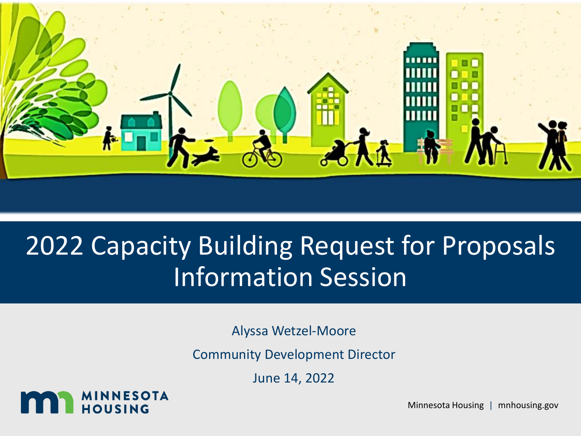

### 2022 Capacity Building Request for Proposals Information Session

Alyssa Wetzel-Moore

Community Development Director

June 14, 2022



Minnesota Housing | mnhousing.gov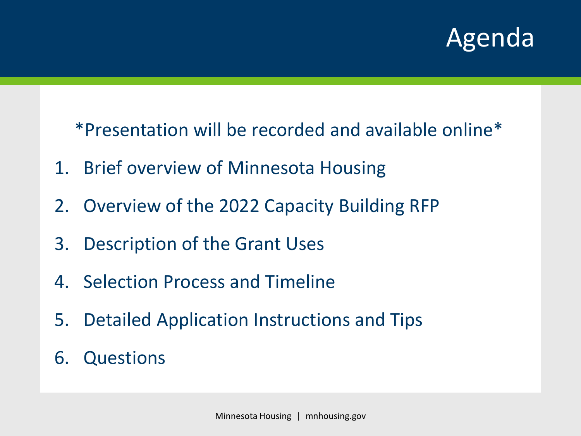### Agenda

\*Presentation will be recorded and available online\*

- 1. Brief overview of Minnesota Housing
- 2. Overview of the 2022 Capacity Building RFP
- 3. Description of the Grant Uses
- 4. Selection Process and Timeline
- 5. Detailed Application Instructions and Tips
- 6. Questions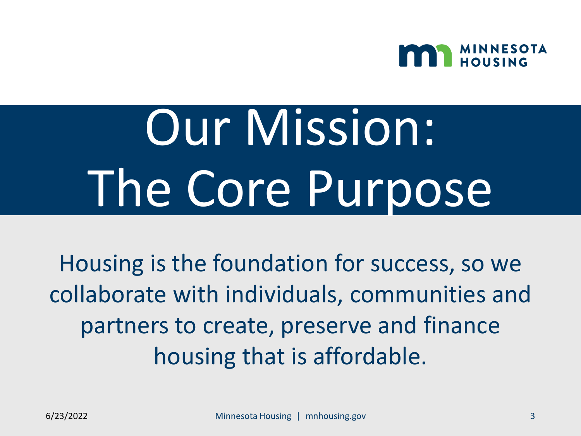

# Our Mission: The Core Purpose

Housing is the foundation for success, so we collaborate with individuals, communities and partners to create, preserve and finance housing that is affordable.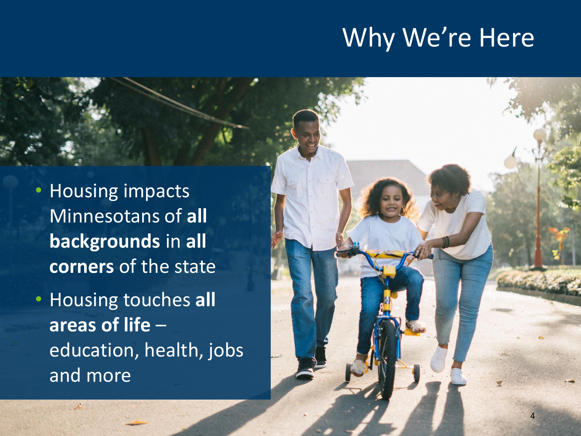### Why We're Here

4

• Housing impacts Minnesotans of **all backgrounds** in **all corners** of the state

• Housing touches **all areas of life** – education, health, jobs and more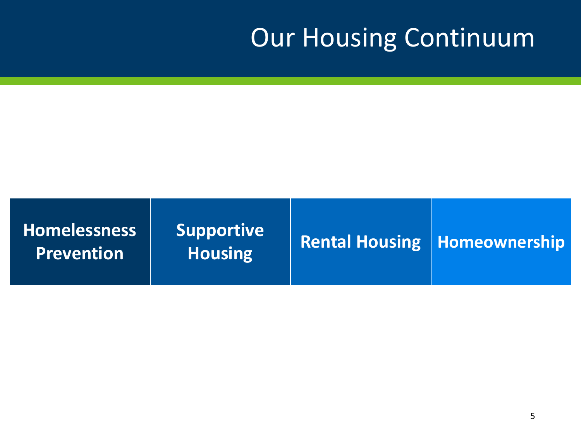### Our Housing Continuum

| <b>Homelessness</b><br><b>Prevention</b> | <b>Supportive</b><br><b>Housing</b> | <b>Rental Housing   Homeownership  </b> |
|------------------------------------------|-------------------------------------|-----------------------------------------|
|                                          |                                     |                                         |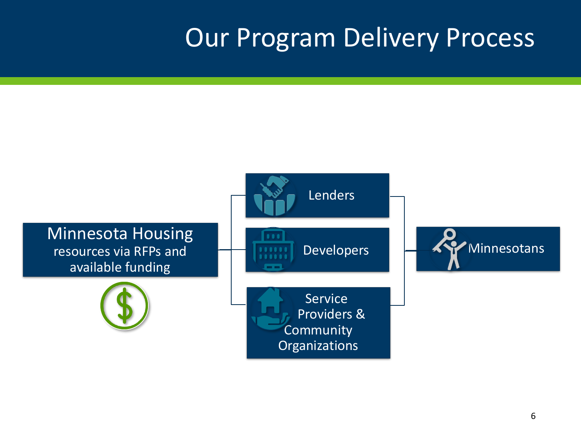### Our Program Delivery Process

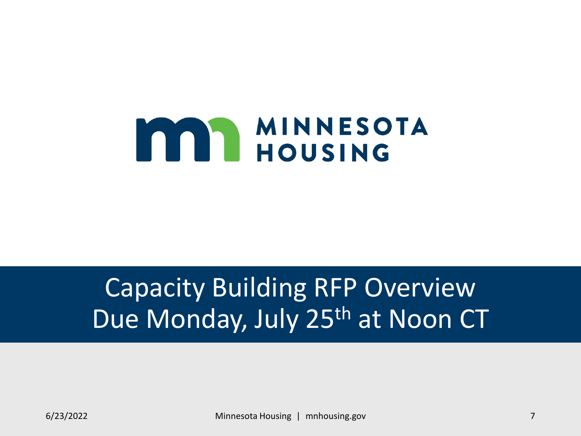

### Capacity Building RFP Overview Due Monday, July 25<sup>th</sup> at Noon CT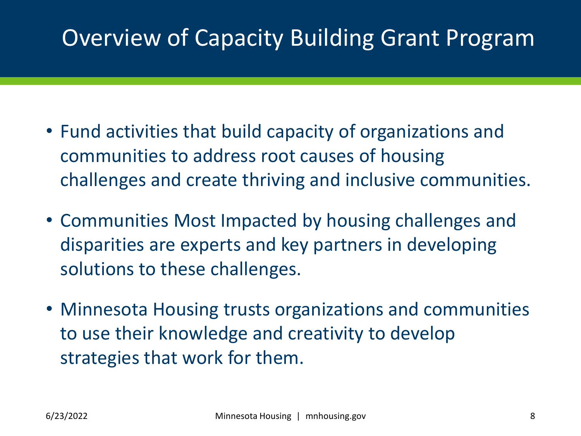### Overview of Capacity Building Grant Program

- Fund activities that build capacity of organizations and communities to address root causes of housing challenges and create thriving and inclusive communities.
- Communities Most Impacted by housing challenges and disparities are experts and key partners in developing solutions to these challenges.
- Minnesota Housing trusts organizations and communities to use their knowledge and creativity to develop strategies that work for them.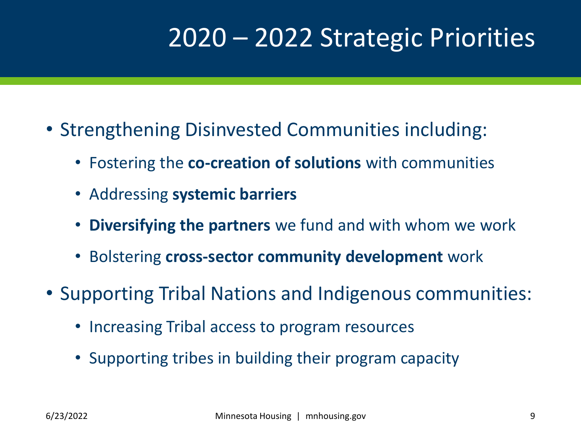### 2020 – 2022 Strategic Priorities

- Strengthening Disinvested Communities including:
	- Fostering the **co-creation of solutions** with communities
	- Addressing **systemic barriers**
	- **Diversifying the partners** we fund and with whom we work
	- Bolstering **cross-sector community development** work
- Supporting Tribal Nations and Indigenous communities:
	- Increasing Tribal access to program resources
	- Supporting tribes in building their program capacity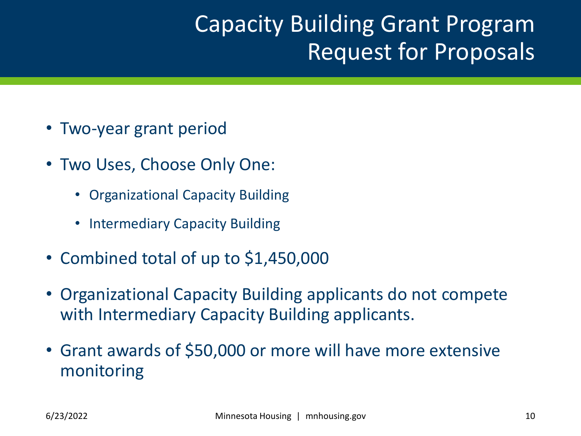### Capacity Building Grant Program Request for Proposals

- Two-year grant period
- Two Uses, Choose Only One:
	- Organizational Capacity Building
	- **Intermediary Capacity Building**
- Combined total of up to \$1,450,000
- Organizational Capacity Building applicants do not compete with Intermediary Capacity Building applicants.
- Grant awards of \$50,000 or more will have more extensive monitoring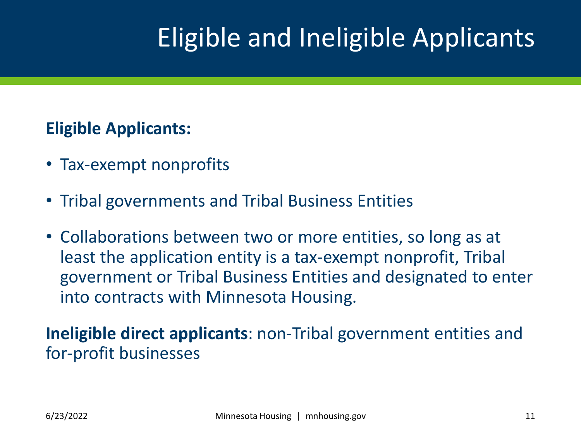### Eligible and Ineligible Applicants

#### **Eligible Applicants:**

- Tax-exempt nonprofits
- Tribal governments and Tribal Business Entities
- Collaborations between two or more entities, so long as at least the application entity is a tax-exempt nonprofit, Tribal government or Tribal Business Entities and designated to enter into contracts with Minnesota Housing.

**Ineligible direct applicants**: non-Tribal government entities and for-profit businesses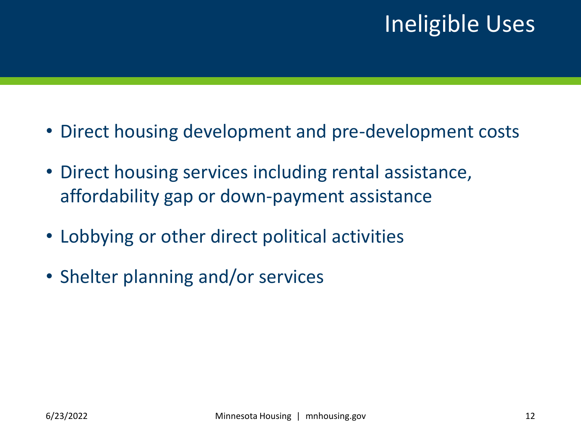### Ineligible Uses

- Direct housing development and pre-development costs
- Direct housing services including rental assistance, affordability gap or down-payment assistance
- Lobbying or other direct political activities
- Shelter planning and/or services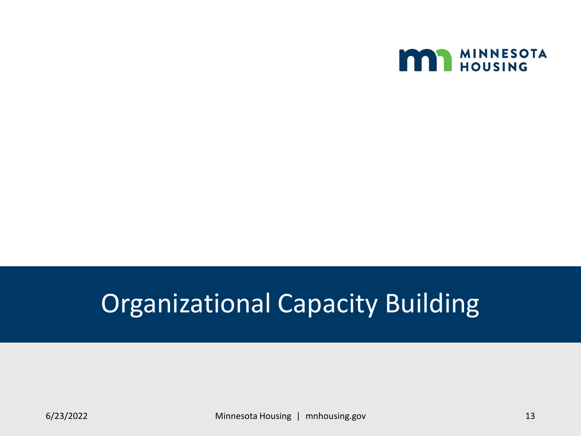

### Organizational Capacity Building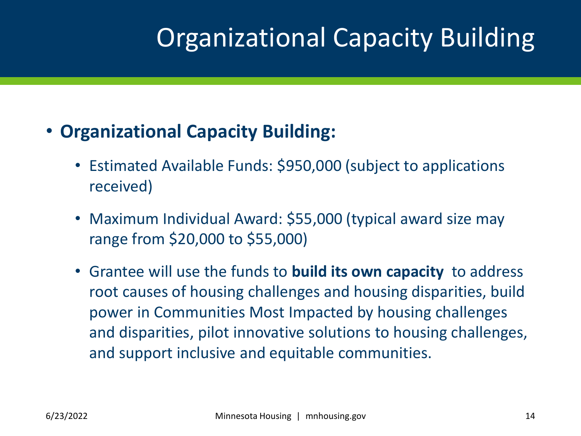### Organizational Capacity Building

### • **Organizational Capacity Building:**

- Estimated Available Funds: \$950,000 (subject to applications received)
- Maximum Individual Award: \$55,000 (typical award size may range from \$20,000 to \$55,000)
- Grantee will use the funds to **build its own capacity** to address root causes of housing challenges and housing disparities, build power in Communities Most Impacted by housing challenges and disparities, pilot innovative solutions to housing challenges, and support inclusive and equitable communities.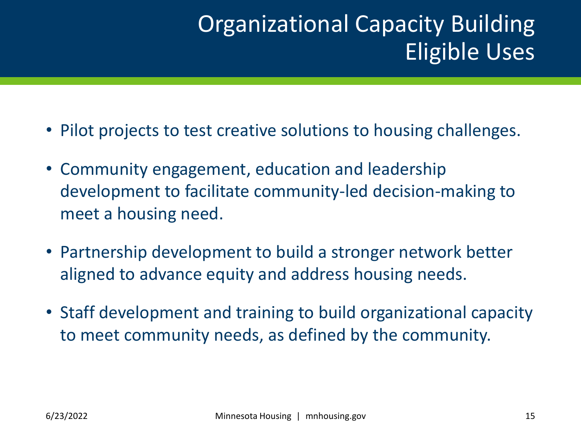### Organizational Capacity Building Eligible Uses

- Pilot projects to test creative solutions to housing challenges.
- Community engagement, education and leadership development to facilitate community-led decision-making to meet a housing need.
- Partnership development to build a stronger network better aligned to advance equity and address housing needs.
- Staff development and training to build organizational capacity to meet community needs, as defined by the community.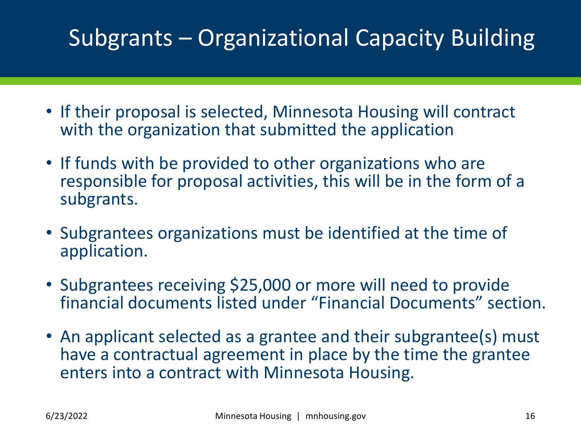### Subgrants – Organizational Capacity Building

- If their proposal is selected, Minnesota Housing will contract with the organization that submitted the application
- If funds with be provided to other organizations who are responsible for proposal activities, this will be in the form of a subgrants.
- Subgrantees organizations must be identified at the time of application.
- Subgrantees receiving \$25,000 or more will need to provide financial documents listed under "Financial Documents" section.
- An applicant selected as a grantee and their subgrantee(s) must have a contractual agreement in place by the time the grantee enters into a contract with Minnesota Housing.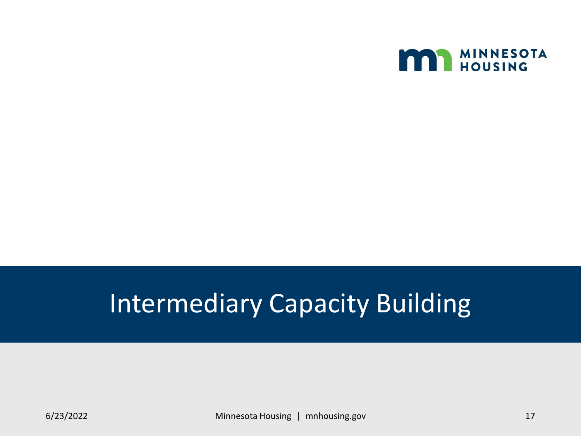

### Intermediary Capacity Building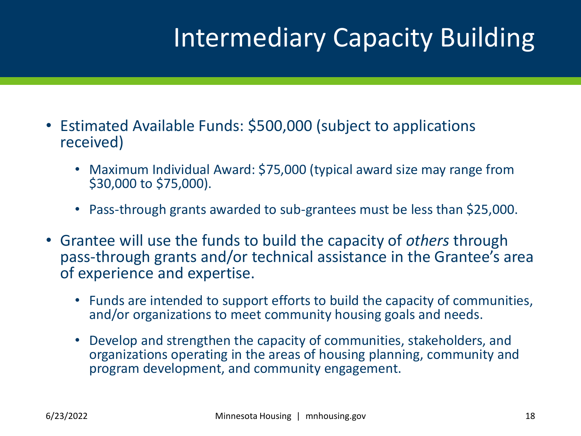### Intermediary Capacity Building

- Estimated Available Funds: \$500,000 (subject to applications received)
	- Maximum Individual Award: \$75,000 (typical award size may range from \$30,000 to \$75,000).
	- Pass-through grants awarded to sub-grantees must be less than \$25,000.
- Grantee will use the funds to build the capacity of *others* through pass-through grants and/or technical assistance in the Grantee's area of experience and expertise.
	- Funds are intended to support efforts to build the capacity of communities, and/or organizations to meet community housing goals and needs.
	- Develop and strengthen the capacity of communities, stakeholders, and organizations operating in the areas of housing planning, community and program development, and community engagement.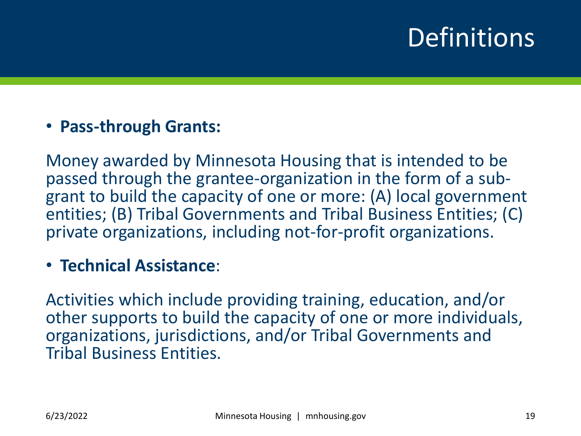### **Definitions**

#### • **Pass-through Grants:**

Money awarded by Minnesota Housing that is intended to be passed through the grantee-organization in the form of a subgrant to build the capacity of one or more: (A) local government entities; (B) Tribal Governments and Tribal Business Entities; (C) private organizations, including not-for-profit organizations.

#### • **Technical Assistance**:

Activities which include providing training, education, and/or other supports to build the capacity of one or more individuals, organizations, jurisdictions, and/or Tribal Governments and Tribal Business Entities.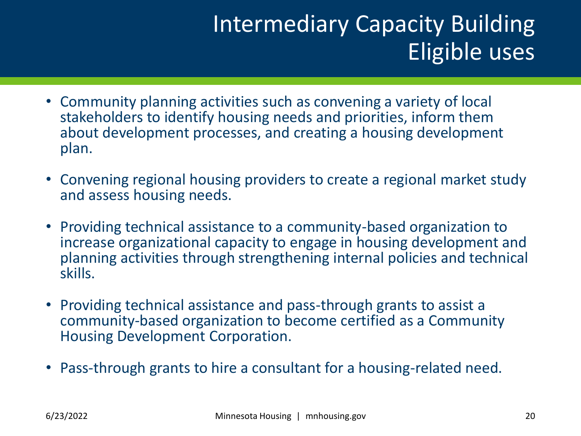### Intermediary Capacity Building Eligible uses

- Community planning activities such as convening a variety of local stakeholders to identify housing needs and priorities, inform them about development processes, and creating a housing development plan.
- Convening regional housing providers to create a regional market study and assess housing needs.
- Providing technical assistance to a community-based organization to increase organizational capacity to engage in housing development and planning activities through strengthening internal policies and technical skills.
- Providing technical assistance and pass-through grants to assist a community-based organization to become certified as a Community Housing Development Corporation.
- Pass-through grants to hire a consultant for a housing-related need.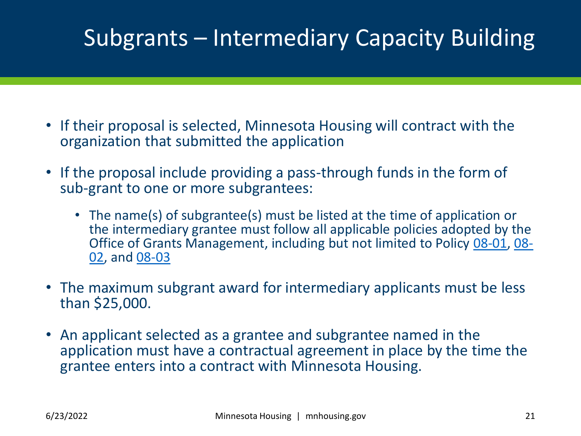### Subgrants – Intermediary Capacity Building

- If their proposal is selected, Minnesota Housing will contract with the organization that submitted the application
- If the proposal include providing a pass-through funds in the form of sub-grant to one or more subgrantees:
	- The name(s) of subgrantee(s) must be listed at the time of application or the intermediary grantee must follow all applicable policies adopted by the [Office of Grants Management, including but not limited to Policy 08-01, 08-](https://mn.gov/admin/assets/08-02%20Grants%20Policy%20Revision%20September%202017%20final_tcm36-312046.pdf) 02, and [08-03](https://mn.gov/admin/assets/08-03%20grants%20policy%20revision%20September%202017_tcm36-312048.pdf)
- The maximum subgrant award for intermediary applicants must be less than \$25,000.
- An applicant selected as a grantee and subgrantee named in the application must have a contractual agreement in place by the time the grantee enters into a contract with Minnesota Housing.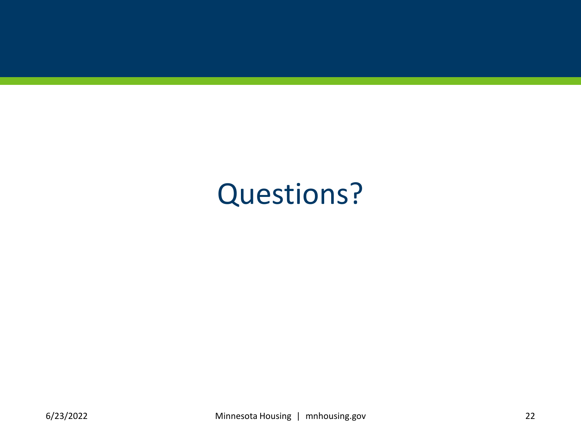# Questions?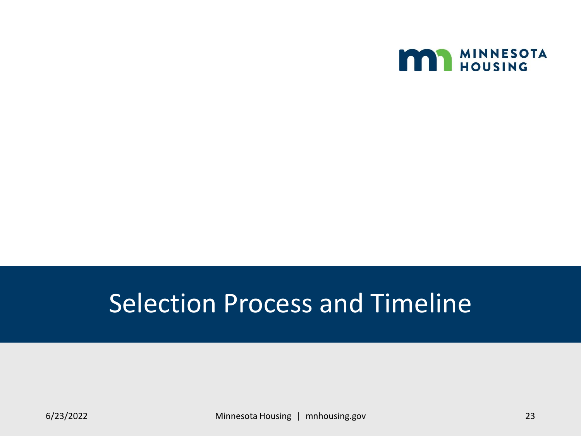

### Selection Process and Timeline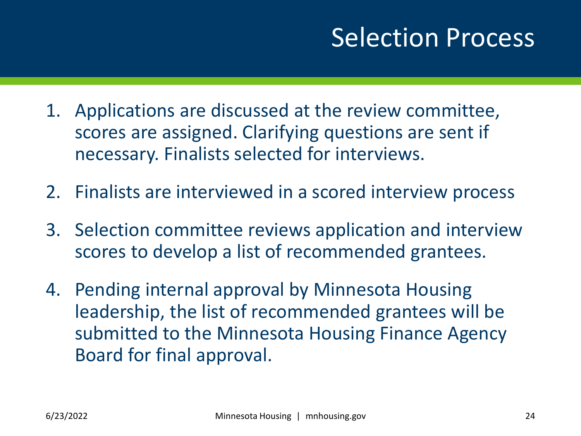### Selection Process

- 1. Applications are discussed at the review committee, scores are assigned. Clarifying questions are sent if necessary. Finalists selected for interviews.
- 2. Finalists are interviewed in a scored interview process
- 3. Selection committee reviews application and interview scores to develop a list of recommended grantees.
- 4. Pending internal approval by Minnesota Housing leadership, the list of recommended grantees will be submitted to the Minnesota Housing Finance Agency Board for final approval.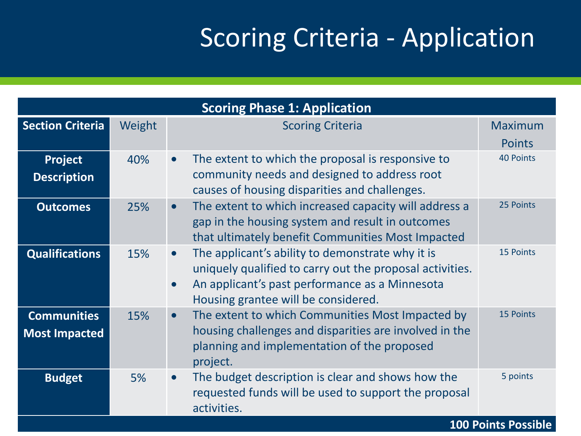### Scoring Criteria - Application

| <b>Scoring Phase 1: Application</b>        |        |                                                                                                                                                                                                                                 |                                 |
|--------------------------------------------|--------|---------------------------------------------------------------------------------------------------------------------------------------------------------------------------------------------------------------------------------|---------------------------------|
| <b>Section Criteria</b>                    | Weight | <b>Scoring Criteria</b>                                                                                                                                                                                                         | <b>Maximum</b><br><b>Points</b> |
| Project<br><b>Description</b>              | 40%    | The extent to which the proposal is responsive to<br>$\bullet$<br>community needs and designed to address root<br>causes of housing disparities and challenges.                                                                 | <b>40 Points</b>                |
| <b>Outcomes</b>                            | 25%    | The extent to which increased capacity will address a<br>$\bullet$<br>gap in the housing system and result in outcomes<br>that ultimately benefit Communities Most Impacted                                                     | 25 Points                       |
| <b>Qualifications</b>                      | 15%    | The applicant's ability to demonstrate why it is<br>$\bullet$<br>uniquely qualified to carry out the proposal activities.<br>An applicant's past performance as a Minnesota<br>$\bullet$<br>Housing grantee will be considered. | 15 Points                       |
| <b>Communities</b><br><b>Most Impacted</b> | 15%    | The extent to which Communities Most Impacted by<br>$\bullet$<br>housing challenges and disparities are involved in the<br>planning and implementation of the proposed<br>project.                                              | <b>15 Points</b>                |
| <b>Budget</b>                              | 5%     | The budget description is clear and shows how the<br>$\bullet$<br>requested funds will be used to support the proposal<br>activities.                                                                                           | 5 points                        |
| <b>100 Points Possible</b>                 |        |                                                                                                                                                                                                                                 |                                 |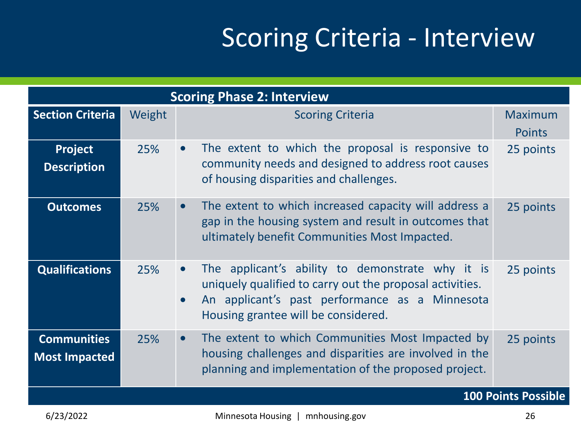### Scoring Criteria - Interview

| <b>Section Criteria</b><br>Weight<br><b>Scoring Criteria</b><br><b>Maximum</b><br><b>Points</b><br>The extent to which the proposal is responsive to<br>Project<br>25%<br>25 points<br>$\bullet$<br>community needs and designed to address root causes<br><b>Description</b><br>of housing disparities and challenges.<br>The extent to which increased capacity will address a<br>25%<br>25 points<br><b>Outcomes</b><br>$\bullet$<br>gap in the housing system and result in outcomes that<br>ultimately benefit Communities Most Impacted.<br>The applicant's ability to demonstrate why it is<br><b>Qualifications</b><br>25%<br>25 points<br>$\bullet$<br>uniquely qualified to carry out the proposal activities.<br>An applicant's past performance as a Minnesota<br>$\bullet$<br>Housing grantee will be considered.<br>The extent to which Communities Most Impacted by<br><b>Communities</b><br>25%<br>25 points<br>$\bullet$<br>housing challenges and disparities are involved in the<br><b>Most Impacted</b><br>planning and implementation of the proposed project. | <b>Scoring Phase 2: Interview</b> |  |  |  |
|-------------------------------------------------------------------------------------------------------------------------------------------------------------------------------------------------------------------------------------------------------------------------------------------------------------------------------------------------------------------------------------------------------------------------------------------------------------------------------------------------------------------------------------------------------------------------------------------------------------------------------------------------------------------------------------------------------------------------------------------------------------------------------------------------------------------------------------------------------------------------------------------------------------------------------------------------------------------------------------------------------------------------------------------------------------------------------------|-----------------------------------|--|--|--|
|                                                                                                                                                                                                                                                                                                                                                                                                                                                                                                                                                                                                                                                                                                                                                                                                                                                                                                                                                                                                                                                                                     |                                   |  |  |  |
|                                                                                                                                                                                                                                                                                                                                                                                                                                                                                                                                                                                                                                                                                                                                                                                                                                                                                                                                                                                                                                                                                     |                                   |  |  |  |
|                                                                                                                                                                                                                                                                                                                                                                                                                                                                                                                                                                                                                                                                                                                                                                                                                                                                                                                                                                                                                                                                                     |                                   |  |  |  |
|                                                                                                                                                                                                                                                                                                                                                                                                                                                                                                                                                                                                                                                                                                                                                                                                                                                                                                                                                                                                                                                                                     |                                   |  |  |  |
|                                                                                                                                                                                                                                                                                                                                                                                                                                                                                                                                                                                                                                                                                                                                                                                                                                                                                                                                                                                                                                                                                     |                                   |  |  |  |
| <b>100 Points Possible</b>                                                                                                                                                                                                                                                                                                                                                                                                                                                                                                                                                                                                                                                                                                                                                                                                                                                                                                                                                                                                                                                          |                                   |  |  |  |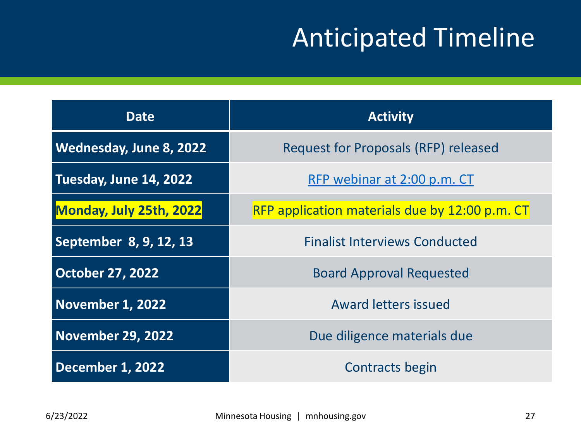### Anticipated Timeline

| <b>Date</b>                    | <b>Activity</b>                                |  |  |
|--------------------------------|------------------------------------------------|--|--|
| <b>Wednesday, June 8, 2022</b> | <b>Request for Proposals (RFP) released</b>    |  |  |
| Tuesday, June 14, 2022         | RFP webinar at 2:00 p.m. CT                    |  |  |
| Monday, July 25th, 2022        | RFP application materials due by 12:00 p.m. CT |  |  |
| September 8, 9, 12, 13         | <b>Finalist Interviews Conducted</b>           |  |  |
| <b>October 27, 2022</b>        | <b>Board Approval Requested</b>                |  |  |
| November 1, 2022               | <b>Award letters issued</b>                    |  |  |
| <b>November 29, 2022</b>       | Due diligence materials due                    |  |  |
| December 1, 2022               | Contracts begin                                |  |  |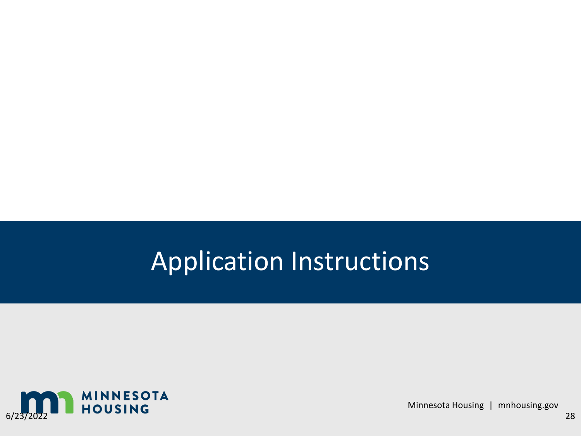### Application Instructions



Minnesota Housing | mnhousing.gov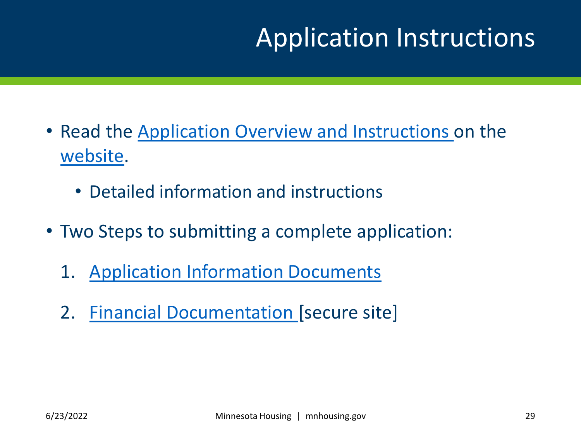### Application Instructions

- Read the [Application Overview and Instructions o](https://www.mnhousing.gov/sites/Satellite?blobcol=urldata&blobheadername1=Content-Type&blobheadername2=Content-Disposition&blobheadername3=MDT-Type&blobheadervalue1=application%2Fpdf&blobheadervalue2=attachment%3B+filename%3DMHFA_269494.pdf&blobheadervalue3=abinary%3B+charset%3DUTF-8&blobkey=id&blobtable=MungoBlobs&blobwhere=1533154181426&ssbinary=true)n the [website.](https://www.mnhousing.gov/sites/np/CapacityBuildingProgram)
	- Detailed information and instructions
- Two Steps to submitting a complete application:
	- 1. [Application Information Documents](https://www.cvent.com/d/bkqrdb)
	- 2. [Financial Documentation \[](https://mnhousing.leapfile.net/)secure site]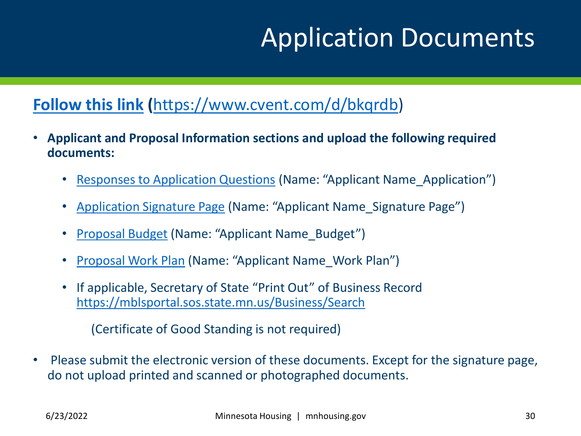### Application Documents

#### **[Follow this link](https://www.cvent.com/d/bkqrdb) (**[https://www.cvent.com/d/bkqrdb\)](https://www.cvent.com/d/bkqrdb)

- **Applicant and Proposal Information sections and upload the following required documents:** 
	- [Responses to Application Questions](http://www.mnhousing.gov/download/MHFA_269439) (Name: "Applicant Name\_Application")
	- [Application Signature Page](http://www.mnhousing.gov/download/MHFA_269440) (Name: "Applicant Name\_Signature Page")
	- [Proposal Budget](http://www.mnhousing.gov/download/MHFA_269441) (Name: "Applicant Name\_Budget")
	- [Proposal Work Plan](http://www.mnhousing.gov/download/MHFA_269442) (Name: "Applicant Name\_Work Plan")
	- If applicable, Secretary of State "Print Out" of Business Record <https://mblsportal.sos.state.mn.us/Business/Search>

(Certificate of Good Standing is not required)

• Please submit the electronic version of these documents. Except for the signature page, do not upload printed and scanned or photographed documents.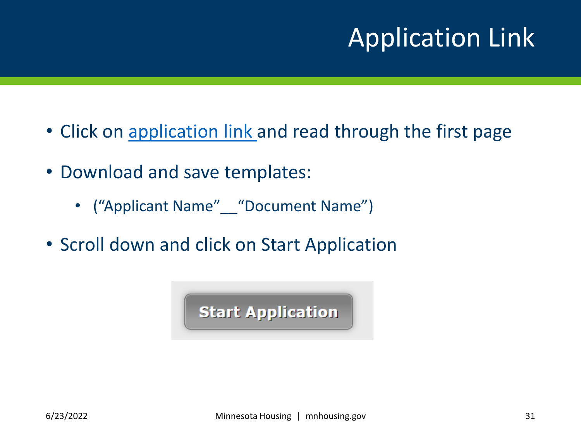# Application Link

- Click on [application link a](https://www.cvent.com/d/bkqrdb)nd read through the first page
- Download and save templates:
	- ("Applicant Name" \_\_ "Document Name")
- Scroll down and click on Start Application

**Start Application**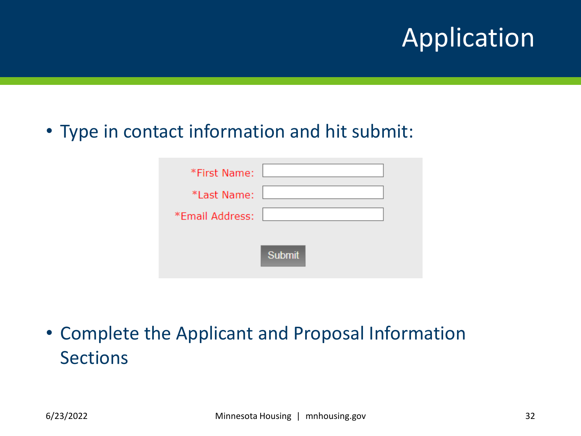### Application

#### • Type in contact information and hit submit:

| *First Name:    |               |
|-----------------|---------------|
| *Last Name:     |               |
| *Email Address: |               |
|                 | <b>Submit</b> |

• Complete the Applicant and Proposal Information Sections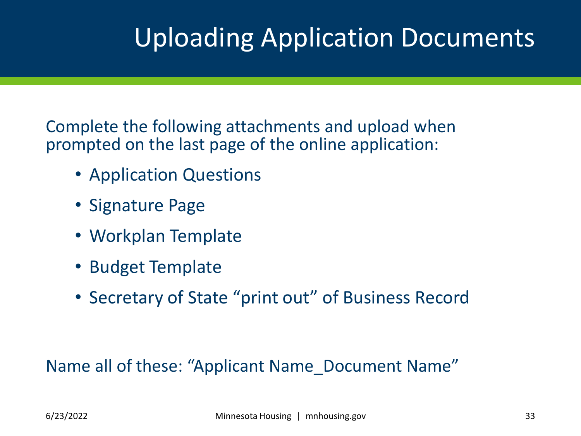### Uploading Application Documents

Complete the following attachments and upload when prompted on the last page of the online application:

- Application Questions
- Signature Page
- Workplan Template
- Budget Template
- Secretary of State "print out" of Business Record

Name all of these: "Applicant Name Document Name"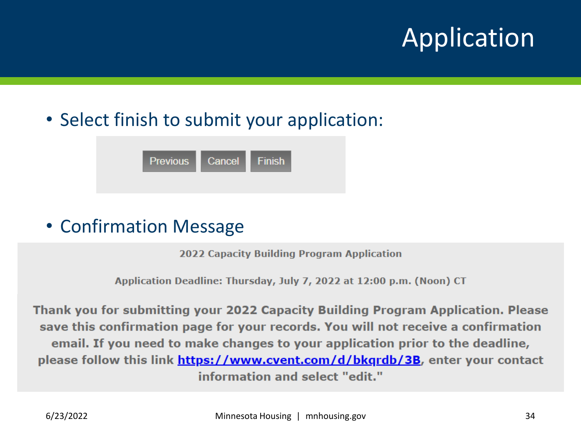## Application

### • Select finish to submit your application:

| <b>Previous</b> | Cancel | $\blacksquare$ Finish |
|-----------------|--------|-----------------------|
|                 |        |                       |

#### • Confirmation Message

**2022 Capacity Building Program Application** 

Application Deadline: Thursday, July 7, 2022 at 12:00 p.m. (Noon) CT

Thank you for submitting your 2022 Capacity Building Program Application. Please save this confirmation page for your records. You will not receive a confirmation email. If you need to make changes to your application prior to the deadline, please follow this link https://www.cvent.com/d/bkgrdb/3B, enter your contact information and select "edit."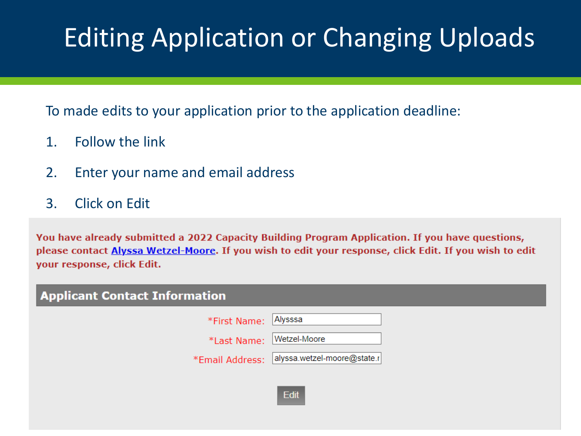# Editing Application or Changing Uploads

To made edits to your application prior to the application deadline:

- 1. Follow the link
- 2. Enter your name and email address
- 3. Click on Edit

You have already submitted a 2022 Capacity Building Program Application. If you have questions, please contact **Alyssa Wetzel-Moore**. If you wish to edit your response, click Edit. If you wish to edit your response, click Edit.

| <b>Applicant Contact Information</b> |                                             |  |  |
|--------------------------------------|---------------------------------------------|--|--|
| *First Name: Alysssa                 |                                             |  |  |
| *Last Name: Wetzel-Moore             |                                             |  |  |
|                                      | *Email Address: alyssa.wetzel-moore@state.r |  |  |
|                                      |                                             |  |  |

Edit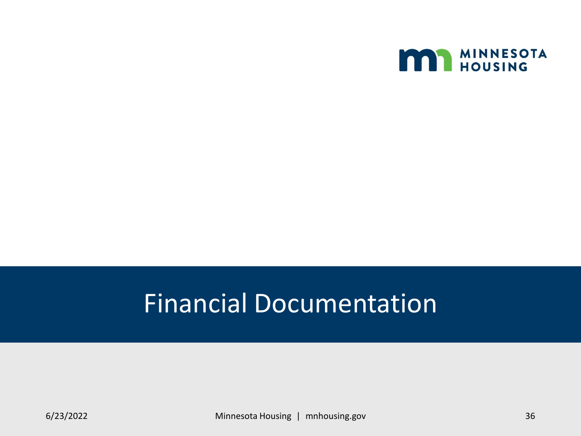

### Financial Documentation

6/23/2022 Minnesota Housing | mnhousing.gov 36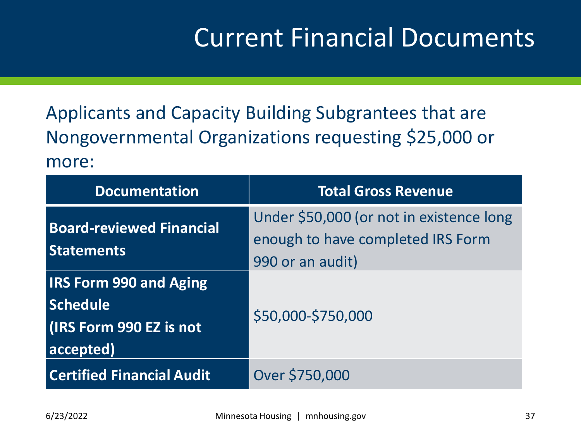### Current Financial Documents

Applicants and Capacity Building Subgrantees that are Nongovernmental Organizations requesting \$25,000 or more:

| <b>Documentation</b>                                                                            | <b>Total Gross Revenue</b>                                                                        |
|-------------------------------------------------------------------------------------------------|---------------------------------------------------------------------------------------------------|
| <b>Board-reviewed Financial</b><br><b>Statements</b>                                            | Under \$50,000 (or not in existence long<br>enough to have completed IRS Form<br>990 or an audit) |
| <b>IRS Form 990 and Aging</b><br><b>Schedule</b><br><b>(IRS Form 990 EZ is not</b><br>accepted) | \$50,000-\$750,000                                                                                |
| <b>Certified Financial Audit</b>                                                                | Over \$750,000                                                                                    |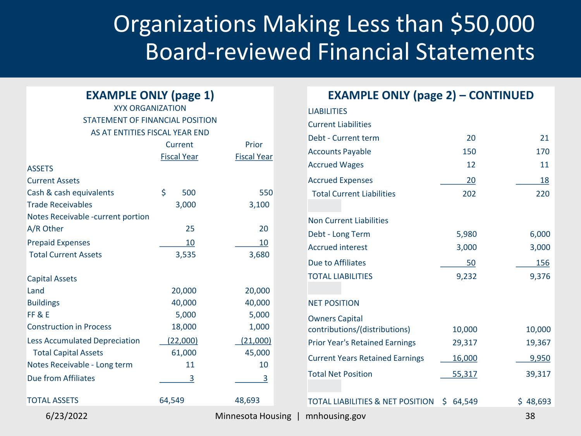### Organizations Making Less than \$50,000 Board-reviewed Financial Statements

#### **EXAMPLE ONLY (page 1)**

#### XYX ORGANIZATION STATEMENT OF FINANCIAL POSITION AS AT ENTITIES FISCAL YEAR END

|                                      | Current            | Prior              |
|--------------------------------------|--------------------|--------------------|
|                                      | <b>Fiscal Year</b> | <b>Fiscal Year</b> |
| <b>ASSETS</b>                        |                    |                    |
| <b>Current Assets</b>                |                    |                    |
| Cash & cash equivalents              | \$<br>500          | 550                |
| <b>Trade Receivables</b>             | 3,000              | 3,100              |
| Notes Receivable -current portion    |                    |                    |
| A/R Other                            | 25                 | 20                 |
| <b>Prepaid Expenses</b>              | 10                 | 10                 |
| <b>Total Current Assets</b>          | 3,535              | 3,680              |
| <b>Capital Assets</b>                |                    |                    |
| Land                                 | 20,000             | 20,000             |
| <b>Buildings</b>                     | 40,000             | 40,000             |
| FF&E                                 | 5,000              | 5,000              |
| <b>Construction in Process</b>       | 18,000             | 1,000              |
| <b>Less Accumulated Depreciation</b> | (22,000)           | (21,000)           |
| <b>Total Capital Assets</b>          | 61,000             | 45,000             |
| Notes Receivable - Long term         | 11                 | 10                 |
| <b>Due from Affiliates</b>           | 3                  | $\overline{3}$     |
| <b>TOTAL ASSETS</b>                  | 64,549             | 48,693             |
| 6/23/2022                            |                    | Minnesota Housing  |

| <b>EXAMPLE ONLY (page 2) - CONTINUED</b>    |              |          |
|---------------------------------------------|--------------|----------|
| <b>LIABILITIES</b>                          |              |          |
| <b>Current Liabilities</b>                  |              |          |
| Debt - Current term                         | 20           | 21       |
| <b>Accounts Payable</b>                     | 150          | 170      |
| <b>Accrued Wages</b>                        | 12           | 11       |
| <b>Accrued Expenses</b>                     | 20           | 18       |
| <b>Total Current Liabilities</b>            | 202          | 220      |
|                                             |              |          |
| <b>Non Current Liabilities</b>              |              |          |
| Debt - Long Term                            | 5,980        | 6,000    |
| <b>Accrued interest</b>                     | 3,000        | 3,000    |
| Due to Affiliates                           | 50           | 156      |
| <b>TOTAL LIABILITIES</b>                    | 9,232        | 9,376    |
|                                             |              |          |
| <b>NET POSITION</b>                         |              |          |
| <b>Owners Capital</b>                       |              |          |
| contributions/(distributions)               | 10,000       | 10,000   |
| <b>Prior Year's Retained Earnings</b>       | 29,317       | 19,367   |
| <b>Current Years Retained Earnings</b>      | 16,000       | 9,950    |
| <b>Total Net Position</b>                   | 55,317       | 39,317   |
|                                             |              |          |
| <b>TOTAL LIABILITIES &amp; NET POSITION</b> | \$<br>64,549 | \$48,693 |
| mnhousing.gov                               |              | 38       |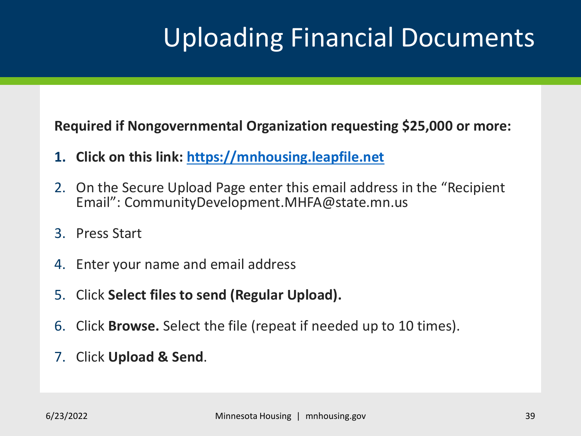### Uploading Financial Documents

**Required if Nongovernmental Organization requesting \$25,000 or more:**

- **1. Click on this link: [https://mnhousing.leapfile.net](https://mnhousing.leapfile.net/)**
- 2. On the Secure Upload Page enter this email address in the "Recipient Email": CommunityDevelopment.MHFA@state.mn.us
- 3. Press Start
- 4. Enter your name and email address
- 5. Click **Select files to send (Regular Upload).**
- 6. Click **Browse.** Select the file (repeat if needed up to 10 times).
- 7. Click **Upload & Send**.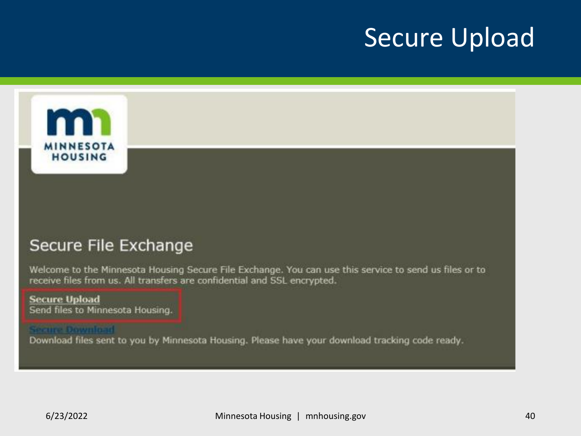### Secure Upload



#### Secure File Exchange

Welcome to the Minnesota Housing Secure File Exchange. You can use this service to send us files or to receive files from us. All transfers are confidential and SSL encrypted.

#### **Secure Upload** Send files to Minnesota Housing.

#### **Secure Download**

Download files sent to you by Minnesota Housing. Please have your download tracking code ready.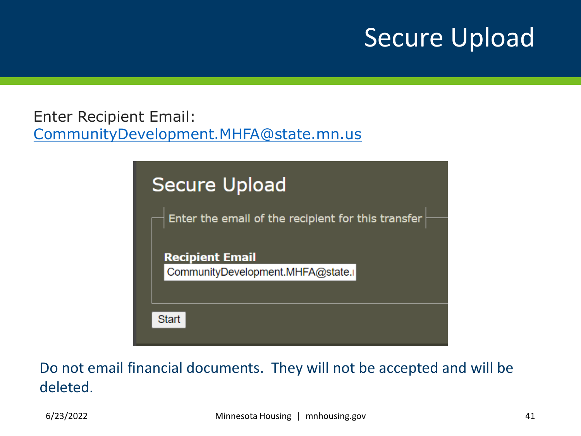### Secure Upload

Enter Recipient Email: [CommunityDevelopment.MHFA@state.mn.us](mailto:CommunityDevelopment.MHFA@state.mn.us)



Do not email financial documents. They will not be accepted and will be deleted.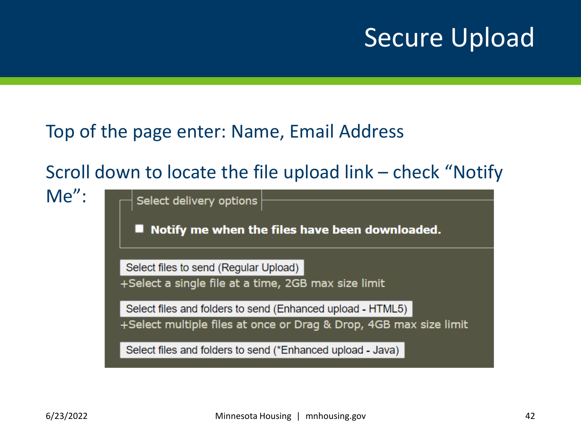### Secure Upload

#### Top of the page enter: Name, Email Address

### Scroll down to locate the file upload link – check "Notify

 $Me''$ :

Select delivery options Notify me when the files have been downloaded. Select files to send (Regular Upload) +Select a single file at a time, 2GB max size limit Select files and folders to send (Enhanced upload - HTML5) +Select multiple files at once or Drag & Drop, 4GB max size limit Select files and folders to send (\*Enhanced upload - Java)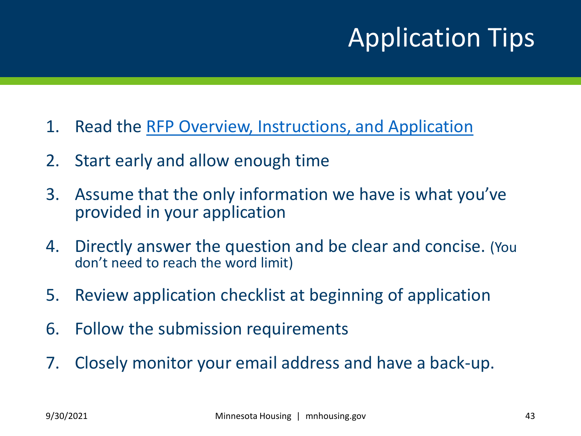# Application Tips

- 1. Read the [RFP Overview, Instructions, and Application](https://www.mnhousing.gov/sites/Satellite?blobcol=urldata&blobheadername1=Content-Type&blobheadername2=Content-Disposition&blobheadername3=MDT-Type&blobheadervalue1=application%2Fpdf&blobheadervalue2=attachment%3B+filename%3DMHFA_269494.pdf&blobheadervalue3=abinary%3B+charset%3DUTF-8&blobkey=id&blobtable=MungoBlobs&blobwhere=1533154181426&ssbinary=true)
- 2. Start early and allow enough time
- 3. Assume that the only information we have is what you've provided in your application
- 4. Directly answer the question and be clear and concise. (You don't need to reach the word limit)
- 5. Review application checklist at beginning of application
- 6. Follow the submission requirements
- 7. Closely monitor your email address and have a back-up.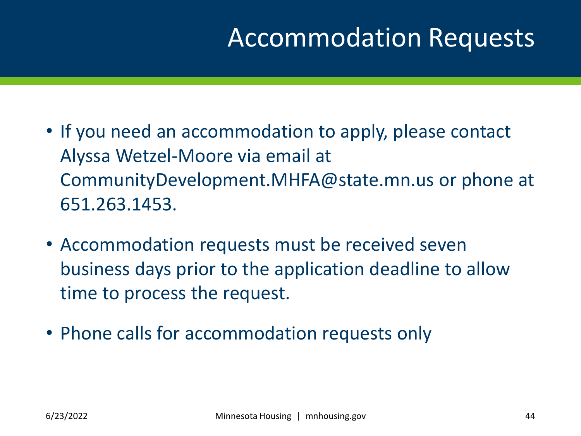### Accommodation Requests

- If you need an accommodation to apply, please contact Alyssa Wetzel-Moore via email at CommunityDevelopment.MHFA@state.mn.us or phone at 651.263.1453.
- Accommodation requests must be received seven business days prior to the application deadline to allow time to process the request.
- Phone calls for accommodation requests only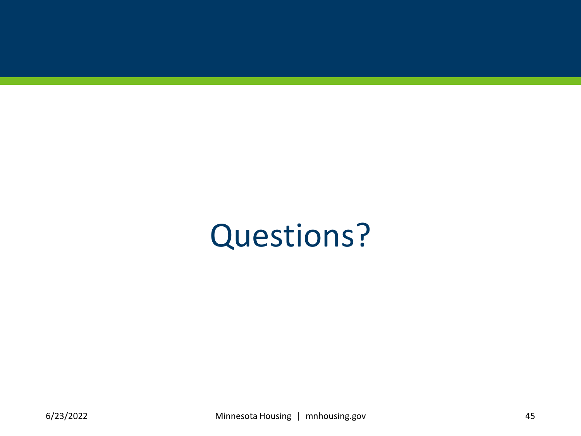# Questions?